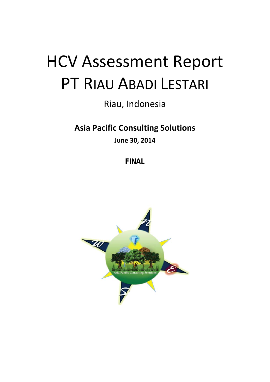# HCV Assessment Report PT RIAU ABADI LESTARI

# Riau, Indonesia

# **Asia Pacific Consulting Solutions**

**June 30, 2014**

**FINAL**

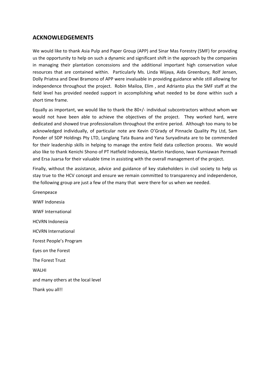# **ACKNOWLEDGEMENTS**

We would like to thank Asia Pulp and Paper Group (APP) and Sinar Mas Forestry (SMF) for providing us the opportunity to help on such a dynamic and significant shift in the approach by the companies in managing their plantation concessions and the additional important high conservation value resources that are contained within. Particularly Ms. Linda Wijaya, Aida Greenbury, Rolf Jensen, Dolly Priatna and Dewi Bramono of APP were invaluable in providing guidance while still allowing for independence throughout the project. Robin Mailoa, Elim , and Adrianto plus the SMF staff at the field level has provided needed support in accomplishing what needed to be done within such a short time frame.

Equally as important, we would like to thank the 80+/- individual subcontractors without whom we would not have been able to achieve the objectives of the project. They worked hard, were dedicated and showed true professionalism throughout the entire period. Although too many to be acknowledged individually, of particular note are Kevin O'Grady of Pinnacle Quality Pty Ltd, Sam Ponder of SDP Holdings Pty LTD, Langlang Tata Buana and Yana Suryadinata are to be commended for their leadership skills in helping to manage the entire field data collection process. We would also like to thank Kenichi Shono of PT Hatfield Indonesia, Martin Hardiono, Iwan Kurniawan Permadi and Ersa Juarsa for their valuable time in assisting with the overall management of the project.

Finally, without the assistance, advice and guidance of key stakeholders in civil society to help us stay true to the HCV concept and ensure we remain committed to transparency and independence, the following group are just a few of the many that were there for us when we needed.

Greenpeace WWF Indonesia WWF International HCVRN Indonesia HCVRN International Forest People's Program Eyes on the Forest The Forest Trust WALHI and many others at the local level Thank you all!!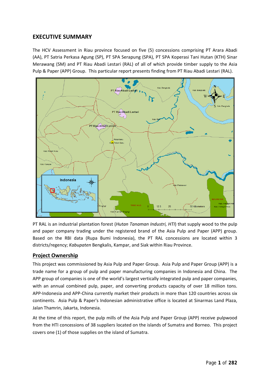# **EXECUTIVE SUMMARY**

The HCV Assessment in Riau province focused on five (5) concessions comprising PT Arara Abadi (AA), PT Satria Perkasa Agung (SP), PT SPA Serapung (SPA), PT SPA Koperasi Tani Hutan (KTH) Sinar Merawang (SM) and PT Riau Abadi Lestari (RAL) of all of which provide timber supply to the Asia Pulp & Paper (APP) Group. This particular report presents finding from PT Riau Abadi Lestari (RAL).



PT RAL is an industrial plantation forest (*Hutan Tanaman Industri, HTI*) that supply wood to the pulp and paper company trading under the registered brand of the Asia Pulp and Paper (APP) group. Based on the RBI data (Rupa Bumi Indonesia), the PT RAL concessions are located within 3 districts/regency; *Kabupaten* Bengkalis, Kampar, and Siak within Riau Province.

# **Project Ownership**

This project was commissioned by Asia Pulp and Paper Group. Asia Pulp and Paper Group (APP) is a trade name for a group of pulp and paper manufacturing companies in Indonesia and China. The APP group of companies is one of the world's largest vertically integrated pulp and paper companies, with an annual combined pulp, paper, and converting products capacity of over 18 million tons. APP-Indonesia and APP-China currently market their products in more than 120 countries across six continents. Asia Pulp & Paper's Indonesian administrative office is located at Sinarmas Land Plaza, Jalan Thamrin, Jakarta, Indonesia.

At the time of this report, the pulp mills of the Asia Pulp and Paper Group (APP) receive pulpwood from the HTI concessions of 38 suppliers located on the islands of Sumatra and Borneo. This project covers one (1) of those supplies on the island of Sumatra.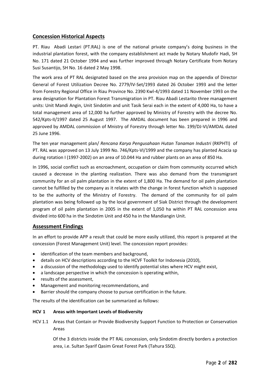## **Concession Historical Aspects**

PT. Riau Abadi Lestari (PT.RAL) is one of the national private company's doing business in the industrial plantation forest, with the company establishment act made by Notary Mudofir Hadi, SH No. 171 dated 21 October 1994 and was further improved through Notary Certificate from Notary Susi Susantijo, SH No. 16 dated 2 May 1998.

The work area of PT RAL designated based on the area provision map on the appendix of Director General of Forest Utilization Decree No. 2779/IV-Set/1993 dated 26 October 1993 and the letter from Forestry Regional Office in Riau Province No. 2390 Kwl-4/1993 dated 11 November 1993 on the area designation for Plantation Forest Transmigration in PT. Riau Abadi Lestarito three management units: Unit Mandi Angin, Unit Sindotim and unit Tasik Serai each in the extent of 4,000 Ha, to have a total management area of 12,000 ha further approved by Ministry of Forestry with the decree No. 542/Kpts-II/1997 dated 25 August 1997. The AMDAL document has been prepared in 1996 and approved by AMDAL commission of Mnistry of Forestry through letter No. 199/DJ-VI/AMDAL dated 25 June 1996.

The ten year management plan/ *Rencana Karya Pengusahaan Hutan Tanaman Industri* (RKPHTI) of PT. RAL was approved on 13 July 1999 No. 746/Kpts-VI/1999 and the company has planted Acacia sp during rotation I (1997-2002) on an area of 10.044 Ha and rubber plants on an area of 850 Ha.

In 1996, social conflict such as encroachment, occupation or claim from community occurred which caused a decrease in the planting realization. There was also demand from the transmigrant community for an oil palm plantation in the extent of 1,800 Ha. The demand for oil palm plantation cannot be fulfilled by the company as it relates with the change in forest function which is supposed to be the authority of the Ministry of Forestry. The demand of the community for oil palm plantation was being followed up by the local government of Siak District through the development program of oil palm plantation in 2005 in the extent of 1,050 ha within PT RAL concession area divided into 600 ha in the Sindotim Unit and 450 ha in the Mandiangin Unit.

# **Assessment Findings**

In an effort to provide APP a result that could be more easily utilized, this report is prepared at the concession (Forest Management Unit) level. The concession report provides:

- identification of the team members and background,
- details on HCV descriptions according to the HCVF Toolkit for Indonesia (2010),
- a discussion of the methodology used to identify potential sites where HCV might exist,
- a landscape perspective in which the concession is operating within,
- results of the assessment,
- Management and monitoring recommendations, and
- Barrier should the company choose to pursue certification in the future.

The results of the identification can be summarized as follows:

#### **HCV 1 Areas with Important Levels of Biodiversity**

HCV 1.1 Areas that Contain or Provide Biodiversity Support Function to Protection or Conservation Areas

> Of the 3 districts inside the PT RAL concession, only Sindotim directly borders a protection area, i.e. Sultan Syarif Qasim Great Forest Park (Tahura SSQ).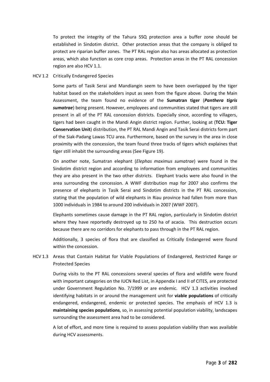To protect the integrity of the Tahura SSQ protection area a buffer zone should be established in Sindotim district. Other protection areas that the company is obliged to protect are riparian buffer zones. The PT RAL region also has areas allocated as protection areas, which also function as core crop areas. Protection areas in the PT RAL concession region are also HCV 1.1.

#### HCV 1.2 Critically Endangered Species

Some parts of Tasik Serai and Mandiangin seem to have been overlapped by the tiger habitat based on the stakeholders input as seen from the figure above. During the Main Assessment, the team found no evidence of the **Sumatran tiger** (*Panthera tigris sumatrae*) being present. However, employees and communities stated that tigers are still present in all of the PT RAL concession districts. Especially since, according to villagers, tigers had been caught in the Mandi Angin district region. Further, looking at (**TCU: Tiger Conservation Unit**) distribution, the PT RAL Mandi Angin and Tasik Serai districts form part of the Siak-Padang Lawas TCU area. Furthermore, based on the survey in the area in close proximity with the concession, the team found three tracks of tigers which explaines that tiger still inhabit the surrounding areas (See Figure 19).

On another note, Sumatran elephant (*Elephas maximus sumatrae*) were found in the Sindotim district region and according to information from employees and communities they are also present in the two other districts. Elephant tracks were also found in the area surrounding the concession. A WWF distribution map for 2007 also confirms the presence of elephants in Tasik Serai and Sindotim districts in the PT RAL concession, stating that the population of wild elephants in Riau province had fallen from more than 1000 individuals in 1984 to around 200 individuals in 2007 (WWF 2007).

Elephants sometimes cause damage in the PT RAL region, particularly in Sindotim district where they have reportedly destroyed up to 250 ha of acacia. This destruction occurs because there are no corridors for elephants to pass through in the PT RAL region.

Additionally, 3 species of flora that are classified as Critically Endangered were found within the concession.

HCV 1.3 Areas that Contain Habitat for Viable Populations of Endangered, Restricted Range or Protected Species

During visits to the PT RAL concessions several species of flora and wildlife were found with important categories on the IUCN Red List, in Appendix I and II of CITES, are protected under Government Regulation No. 7/1999 or are endemic. HCV 1.3 activities involved identifying habitats in or around the management unit for **viable populations** of critically endangered, endangered, endemic or protected species. The emphasis of HCV 1.3 is **maintaining species populations**, so, in assessing potential population viability, landscapes surrounding the assessment area had to be considered.

A lot of effort, and more time is required to assess population viability than was available during HCV assessments.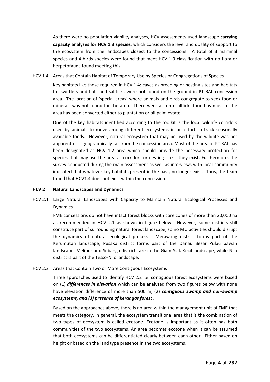As there were no population viability analyses, HCV assessments used landscape **carrying capacity analyses for HCV 1.3 species**, which considers the level and quality of support to the ecosystem from the landscapes closest to the concessions. A total of 3 mammal species and 4 birds species were found that meet HCV 1.3 classification with no flora or herpetofauna found meeting this.

HCV 1.4 Areas that Contain Habitat of Temporary Use by Species or Congregations of Species

Key habitats like those required in HCV 1.4: caves as breeding or nesting sites and habitats for swiftlets and bats and saltlicks were not found on the ground in PT RAL concession area. The location of 'special areas' where animals and birds congregate to seek food or minerals was not found for the area. There were also no saltlicks found as most of the area has been converted either to plantation or oil palm estate.

One of the key habitats identified according to the toolkit is the local wildlife corridors used by animals to move among different ecosystems in an effort to track seasonally available foods. However, natural ecosystem that may be used by the wildlife was not apparent or is geographically far from the concession area. Most of the area of PT RAL has been designated as HCV 1.2 area which should provide the necessary protection for species that may use the area as corridors or nesting site if they exist. Furthermore, the survey conducted during the main assessment as well as interviews with local community indicated that whatever key habitats present in the past, no longer exist. Thus, the team found that HCV1.4 does not exist within the concession.

#### **HCV 2 Natural Landscapes and Dynamics**

HCV 2.1 Large Natural Landscapes with Capacity to Maintain Natural Ecological Processes and Dynamics

> FME concessions do not have intact forest blocks with core zones of more than 20,000 ha as recommended in HCV 2.1 as shown in figure below. However, some districts still constitute part of surrounding natural forest landscape, so no MU activities should disrupt the dynamics of natural ecological process. Merawang district forms part of the Kerumutan landscape, Pusaka district forms part of the Danau Besar Pulau bawah landscape, Melibur and Sebanga districts are in the Giam Siak Kecil landscape, while Nilo district is part of the Tesso-Nilo landscape.

### HCV 2.2 Areas that Contain Two or More Contiguous Ecosystems

Three approaches used to identify HCV 2.2 i.e. contiguous forest ecosystems were based on (1) *differences in elevation* which can be analysed from two figures below with none have elevation difference of more than 500 m, (2) *contiguous swamp and non-swamp ecosystems, and (3) presence of kerangas forest* .

Based on the approaches above, there is no area within the management unit of FME that meets the category. In general, the ecosystem transitional area that is the combination of two types of ecosystem is called ecotone. Ecotone is important as it often has both communities of the two ecosystems. An area becomes ecotone when it can be assumed that both ecosystems can be differentiated clearly between each other. Either based on height or based on the land type presence in the two ecosystems.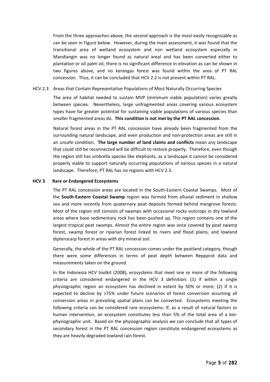From the three approaches above, the second approach is the most easily recognizable as can be seen in Figure below. However, during the main assessment, it was found that the transitional area of wetland ecosystem and non wetland ecosystem especially in Mandiangin was no longer found as natural areal and has been converted either to plantation or oil palm oil, there is no significant difference in elevation as can be shown in two figures above, and no kerangas forest was found within the area of PT RAL concession. Thus, it can be concluded that HCV 2.2 is not present within PT RAL.

#### HCV 2.3 Areas that Contain Representative Populations of Most Naturally Occurring Species

The area of habitat needed to sustain MVP (minimum viable population) varies greatly between species. Nevertheless, large unfragmented areas covering various ecosystem types have far greater potential for sustaining viable populations of various species than smaller fragmented areas do. **This condition is not met by the PT RAL concession**.

Natural forest areas in the PT RAL concession have already been fragmented from the surrounding natural landscape, and even production and non-protection areas are still in an unsafe condition. **The large number of land claims and conflicts** mean any landscape that could still be reconnected will be difficult to restore properly. Therefore, even though the region still has umbrella species like elephants, as a landscape it cannot be considered properly viable to support naturally occurring populations of various spesies in a natural landscape. Therefore, PT RAL has no regions with HCV 2.3.

#### **HCV 3 Rare or Endangered Ecosystems**

The PT RAL concession areas are located in the South-Eastern Coastal Swamps. Most of the **South-Eastern Coastal Swamp** region was formed from alluvial sediment in shallow sea and more recently from quaternary peat deposits formed behind mangrove forests. Most of the region still consists of swamps with occasional rocky outcrops in dry lowland areas where base sedimentary rock has been pushed up. This region contains one of the largest tropical peat swamps. Almost the entire region was once covered by peat swamp forest, swamp forest or riparian forest linked to rivers and flood plains, and lowland dipterocarp forest in areas with dry mineral soil.

Generally, the whole of the PT RAL concession comes under the peatland category, though there were some differences in terms of peat depth between Reppprot data and measurements taken on the ground.

In the Indonesia HCV toolkit (2008), ecosystems that meet one or more of the following criteria are considered endangered in the HCV 3 definition: (1) if within a single physiographic region an ecosystem has declined in extent by 50% or more; (2) if it is expected to decline by >75% under future scenarios of forest conversion assuming all conversion areas in prevailing spatial plans can be converted. Ecosystems meeting the following criteria can be considered rare ecosystems: If, as a result of natural factors or human intervention, an ecosystem constitutes less than 5% of the total area of a biophysiographic unit. Based on the physiographic analysis we can conclude that all types of secondary forest in the PT RAL concession region constitute endangered ecosystems as they are heavily degraded lowland rain forest.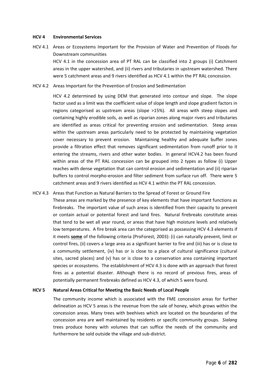#### **HCV 4 Environmental Services**

- HCV 4.1 Areas or Ecosystems Important for the Provision of Water and Prevention of Floods for Downstream communities HCV 4.1 in the concession area of PT RAL can be classified into 2 groups (i) Catchment areas in the upper watershed, and (ii) rivers and tributaries in upstream watershed. There were 5 catchment areas and 9 rivers identified as HCV 4.1 within the PT RAL concession.
- HCV 4.2 Areas Important for the Prevention of Erosion and Sedimentation

HCV 4.2 determined by using DEM that generated into contour and slope. The slope factor used as a limit was the coefficient value of slope length and slope gradient factors in regions categorised as upstream areas (slope >15%). All areas with steep slopes and containing highly erodible soils, as well as riparian zones along major rivers and tributaries are identified as areas critical for preventing erosion and sedimentation. Steep areas within the upstream areas particularly need to be protected by maintaining vegetation cover necessary to prevent erosion. Maintaining healthy and adequate buffer zones provide a filtration effect that removes significant sedimentation from runoff prior to it entering the streams, rivers and other water bodies. In general HCV4.2 has been found within areas of the PT RAL concession can be grouped into 2 types as follow (i) Upper reaches with dense vegetation that can control erosion and sedimentation and (ii) riparian buffers to control morpho-erosion and filter sediment from surface run off. There were 5 catchment areas and 9 rivers identified as HCV 4.1 within the PT RAL concession.

#### HCV 4.3 Areas that Function as Natural Barriers to the Spread of Forest or Ground Fire

These areas are marked by the presence of key elements that have important functions as firebreaks. The important value of such areas is identified from their capacity to prevent or contain actual or potential forest and land fires. Natural firebreaks constitute areas that tend to be wet all year round, or areas that have high moisture levels and relatively low temperatures. A fire break area can the categorised as possessing HCV 4.3 elements if it meets **some** of the following criteria (ProForest, 2003): (i) can naturally prevent, limit or control fires, (ii) covers a large area as a significant barrier to fire and (iii) has or is close to a community settlement, (iv) has or is close to a place of cultural significance (cultural sites, sacred places) and (v) has or is close to a conservation area containing important species or ecosystems. The establishment of HCV 4.3 is done with an approach that forest fires as a potential disaster. Although there is no record of previous fires, areas of potentially permanent firebreaks defined as HCV 4.3, of which 5 were found.

#### **HCV 5 Natural Areas Critical for Meeting the Basic Needs of Local People**

The community income which is associated with the FME concession areas for further delineation as HCV 5 areas is the revenue from the sale of honey, which grows within the concession areas. Many trees with beehives which are located on the boundaries of the concession area are well maintained by residents or specific community groups. *Sialang* trees produce honey with volumes that can suffice the needs of the community and furthermore be sold outside the village and sub-district.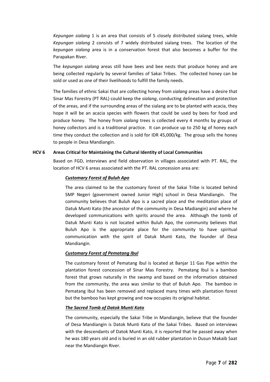*Kepungan sialang* 1 is an area that consists of 5 closely distributed sialang trees, while *Kepungan sialang* 2 consists of 7 widely distributed sialang trees. The location of the *kepungan sialang* area is in a conservation forest that also becomes a buffer for the Parapakan River.

The *kepungan sialang* areas still have bees and bee nests that produce honey and are being collected regularly by several families of Sakai Tribes. The collected honey can be sold or used as one of their livelihoods to fulfill the family needs.

The families of ethnic Sakai that are collecting honey from *sialang* areas have a desire that Sinar Mas Forestry (PT RAL) could keep the *sialang*, conducting delineation and protection of the areas, and if the surrounding areas of the sialang are to be planted with acacia, they hope it will be an acacia species with flowers that could be used by bees for food and produce honey. The honey from *sialang* trees is collected every 4 months by groups of honey collectors and is a traditional practice. It can produce up to 250 kg of honey each time they conduct the collection and is sold for IDR 45,000/kg. The group sells the honey to people in Desa Mandiangin.

#### **HCV 6 Areas Critical for Maintaining the Cultural Identity of Local Communities**

Based on FGD, interviews and field observation in villages associated with PT. RAL, the location of HCV 6 areas associated with the PT. RAL concession area are:

#### *Customary Forest of Buluh Apo*

The area claimed to be the customary forest of the Sakai Tribe is located behind SMP Negeri (government owned Junior High) school in Desa Mandiangin. The community believes that Buluh Apo is a sacred place and the meditation place of Datuk Munti Kato (the ancestor of the community in Desa Madiangin) and where he developed communications with spirits around the area. Although the tomb of Datuk Munti Kato is not located within Buluh Apo, the community believes that Buluh Apo is the appropriate place for the community to have spiritual communication with the spirit of Datuk Munti Kato, the founder of Desa Mandiangin.

#### *Customary Forest of Pematang Ibul*

The customary forest of Pematang Ibul is located at Banjar 11 Gas Pipe within the plantation forest concession of Sinar Mas Forestry. Pematang Ibul is a bamboo forest that grows naturally in the swamp and based on the information obtained from the community, the area was similar to that of Buluh Apo. The bamboo in Pematang Ibul has been removed and replaced many times with plantation forest but the bamboo has kept growing and now occupies its original habitat.

#### *The Sacred Tomb of Datok Munti Kato*

The community, especially the Sakai Tribe in Mandiangin, believe that the founder of Desa Mandiangin is Datok Munti Kato of the Sakai Tribes. Based on interviews with the descendants of Datok Munti Kato, it is reported that he passed away when he was 180 years old and is buried in an old rubber plantation in Dusun Makaib Saat near the Mandiangin River.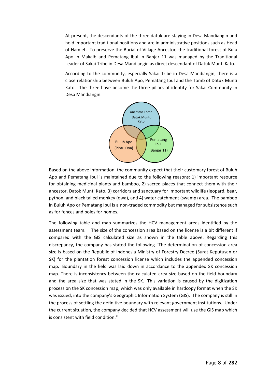At present, the descendants of the three datuk are staying in Desa Mandiangin and hold important traditional positions and are in administrative positions such as Head of Hamlet. To preserve the Burial of Village Ancestor, the traditional forest of Bulu Apo in Makaib and Pematang Ibul in Banjar 11 was managed by the Traditional Leader of Sakai Tribe in Desa Mandiangin as direct descendant of Datuk Munti Kato.

According to the community, especially Sakai Tribe in Desa Mandiangin, there is a close relationship between Buluh Apo, Pematang Ipul and the Tomb of Datuk Munti Kato. The three have become the three pillars of identity for Sakai Community in Desa Mandiangin.



Based on the above information, the community expect that their customary forest of Buluh Apo and Pematang Ibul is maintained due to the following reasons: 1) important resource for obtaining medicinal plants and bamboo, 2) sacred places that connect them with their ancestor, Datok Munti Kato, 3) corridors and sanctuary for important wildlife (leopard, bear, python, and black tailed monkey (owa), and 4) water catchment (swamp) area. The bamboo in Buluh Apo or Pematang Ibul is a non-traded commodity but managed for subsistence such as for fences and poles for homes.

The following table and map summarizes the HCV management areas identified by the assessment team. The size of the concession area based on the license is a bit different if compared with the GIS calculated size as shown in the table above. Regarding this discrepancy, the company has stated the following "The determination of concession area size is based on the Republic of Indonesia Ministry of Forestry Decree (Surat Keputusan or SK) for the plantation forest concession license which includes the appended concession map. Boundary in the field was laid down in accordance to the appended SK concession map. There is inconsistency between the calculated area size based on the field boundary and the area size that was stated in the SK. This variation is caused by the digitization process on the SK concession map, which was only available in hardcopy format when the SK was issued, into the company's Geographic Information System (GIS). The company is still in the process of settling the definitive boundary with relevant government institutions. Under the current situation, the company decided that HCV assessment will use the GIS map which is consistent with field condition."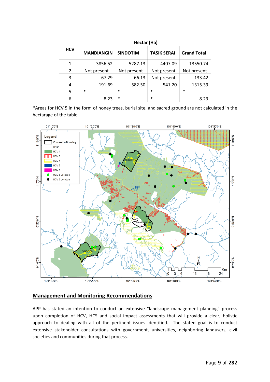| <b>HCV</b> | Hectar (Ha)       |                 |                    |                    |
|------------|-------------------|-----------------|--------------------|--------------------|
|            | <b>MANDIANGIN</b> | <b>SINDOTIM</b> | <b>TASIK SERAI</b> | <b>Grand Total</b> |
|            | 3856.52           | 5287.13         | 4407.09            | 13550.74           |
| 2          | Not present       | Not present     | Not present        | Not present        |
| 3          | 67.29             | 66.13           | Not present        | 133.42             |
| 4          | 191.69            | 582.50          | 541.20             | 1315.39            |
| 5          | $\ast$            | $\ast$          | $\ast$             | $\ast$             |
| 6          | 8.23              | $\ast$          | $\ast$             | 8.23               |

\*Areas for HCV 5 in the form of honey trees, burial site, and sacred ground are not calculated in the hectarage of the table.



## **Management and Monitoring Recommendations**

APP has stated an intention to conduct an extensive "landscape management planning" process upon completion of HCV, HCS and social impact assessments that will provide a clear, holistic approach to dealing with all of the pertinent issues identified. The stated goal is to conduct extensive stakeholder consultations with government, universities, neighboring landusers, civil societies and communities during that process.